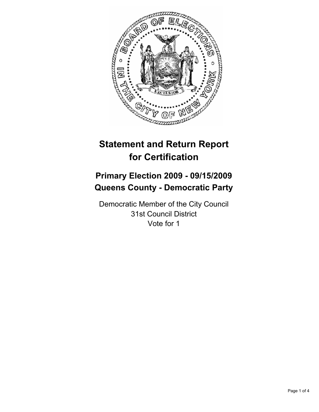

# **Statement and Return Report for Certification**

# **Primary Election 2009 - 09/15/2009 Queens County - Democratic Party**

Democratic Member of the City Council 31st Council District Vote for 1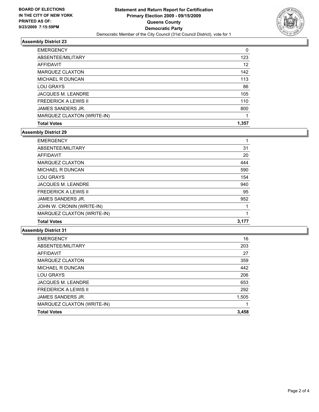

## **Assembly District 23**

| <b>Total Votes</b>          | 1.357 |
|-----------------------------|-------|
| MARQUEZ CLAXTON (WRITE-IN)  |       |
| JAMES SANDERS JR.           | 800   |
| <b>FREDERICK A LEWIS II</b> | 110   |
| <b>JACQUES M. LEANDRE</b>   | 105   |
| <b>LOU GRAYS</b>            | 86    |
| <b>MICHAEL R DUNCAN</b>     | 113   |
| <b>MARQUEZ CLAXTON</b>      | 142   |
| <b>AFFIDAVIT</b>            | 12    |
| ABSENTEE/MILITARY           | 123   |
| <b>EMERGENCY</b>            | 0     |

## **Assembly District 29**

| <b>EMERGENCY</b>            |       |
|-----------------------------|-------|
| ABSENTEE/MILITARY           | 31    |
| <b>AFFIDAVIT</b>            | 20    |
| <b>MARQUEZ CLAXTON</b>      | 444   |
| <b>MICHAEL R DUNCAN</b>     | 590   |
| <b>LOU GRAYS</b>            | 154   |
| <b>JACQUES M. LEANDRE</b>   | 940   |
| <b>FREDERICK A LEWIS II</b> | 95    |
| JAMES SANDERS JR.           | 952   |
| JOHN W. CRONIN (WRITE-IN)   |       |
| MARQUEZ CLAXTON (WRITE-IN)  | 1     |
| <b>Total Votes</b>          | 3.177 |

# **Assembly District 31**

| <b>EMERGENCY</b>            | 16    |
|-----------------------------|-------|
| ABSENTEE/MILITARY           | 203   |
| <b>AFFIDAVIT</b>            | 27    |
| <b>MARQUEZ CLAXTON</b>      | 359   |
| <b>MICHAEL R DUNCAN</b>     | 442   |
| <b>LOU GRAYS</b>            | 206   |
| <b>JACQUES M. LEANDRE</b>   | 653   |
| <b>FREDERICK A LEWIS II</b> | 292   |
| JAMES SANDERS JR.           | 1,505 |
| MARQUEZ CLAXTON (WRITE-IN)  |       |
| <b>Total Votes</b>          | 3,458 |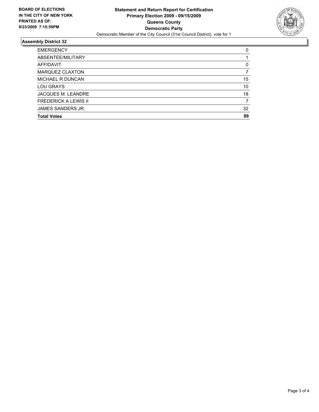

### **Assembly District 32**

| <b>EMERGENCY</b>            | 0  |
|-----------------------------|----|
| ABSENTEE/MILITARY           |    |
| AFFIDAVIT                   | 0  |
| <b>MARQUEZ CLAXTON</b>      |    |
| <b>MICHAEL R DUNCAN</b>     | 15 |
| LOU GRAYS                   | 10 |
| <b>JACQUES M. LEANDRE</b>   | 18 |
| <b>FREDERICK A LEWIS II</b> |    |
| JAMES SANDERS JR.           | 32 |
| <b>Total Votes</b>          | 89 |